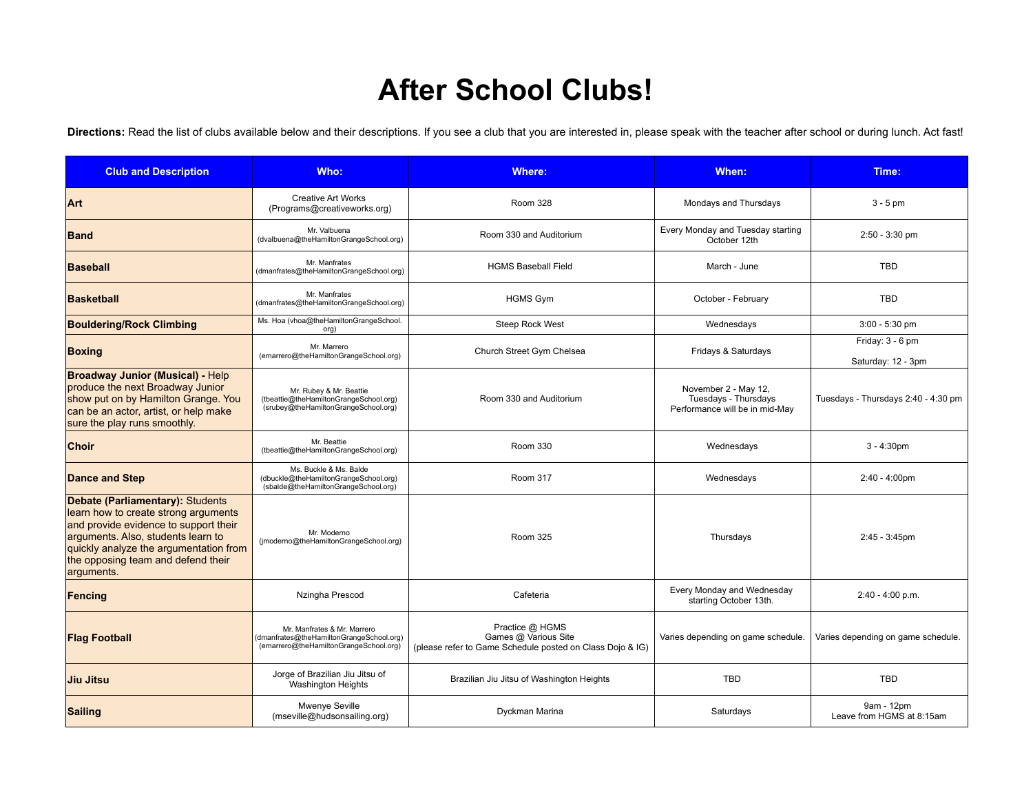## **After School Clubs!**

Directions: Read the list of clubs available below and their descriptions. If you see a club that you are interested in, please speak with the teacher after school or during lunch. Act fast!

| <b>Club and Description</b>                                                                                                                                                                                                                           | Who:                                                                                                              | <b>Where:</b>                                                                                        | When:                                                                          | Time:                                   |
|-------------------------------------------------------------------------------------------------------------------------------------------------------------------------------------------------------------------------------------------------------|-------------------------------------------------------------------------------------------------------------------|------------------------------------------------------------------------------------------------------|--------------------------------------------------------------------------------|-----------------------------------------|
| Art                                                                                                                                                                                                                                                   | <b>Creative Art Works</b><br>(Programs@creativeworks.org)                                                         | <b>Room 328</b>                                                                                      | Mondays and Thursdays                                                          | $3 - 5$ pm                              |
| <b>Band</b>                                                                                                                                                                                                                                           | Mr. Valbuena<br>(dvalbuena@theHamiltonGrangeSchool.org)                                                           | Room 330 and Auditorium                                                                              | Every Monday and Tuesday starting<br>October 12th                              | $2:50 - 3:30$ pm                        |
| <b>Baseball</b>                                                                                                                                                                                                                                       | Mr. Manfrates<br>(dmanfrates@theHamiltonGrangeSchool.org)                                                         | <b>HGMS Baseball Field</b>                                                                           | March - June                                                                   | <b>TBD</b>                              |
| Basketball                                                                                                                                                                                                                                            | Mr. Manfrates<br>(dmanfrates@theHamiltonGrangeSchool.org)                                                         | <b>HGMS Gym</b>                                                                                      | October - February                                                             | <b>TBD</b>                              |
| <b>Bouldering/Rock Climbing</b>                                                                                                                                                                                                                       | Ms. Hoa (vhoa@theHamiltonGrangeSchool.<br>org)                                                                    | Steep Rock West                                                                                      | Wednesdays                                                                     | $3:00 - 5:30$ pm                        |
| <b>Boxing</b>                                                                                                                                                                                                                                         | Mr. Marrero<br>(emarrero@theHamiltonGrangeSchool.org)                                                             | Church Street Gym Chelsea                                                                            | Fridays & Saturdays                                                            | Friday: 3 - 6 pm<br>Saturday: 12 - 3pm  |
| <b>Broadway Junior (Musical) - Help</b><br>produce the next Broadway Junior<br>show put on by Hamilton Grange. You<br>can be an actor, artist, or help make<br>sure the play runs smoothly.                                                           | Mr. Rubey & Mr. Beattie<br>(tbeattie@theHamiltonGrangeSchool.org)<br>(srubey@theHamiltonGrangeSchool.org)         | Room 330 and Auditorium                                                                              | November 2 - May 12,<br>Tuesdays - Thursdays<br>Performance will be in mid-May | Tuesdays - Thursdays 2:40 - 4:30 pm     |
| <b>Choir</b>                                                                                                                                                                                                                                          | Mr. Beattie<br>(tbeattie@theHamiltonGrangeSchool.org)                                                             | <b>Room 330</b>                                                                                      | Wednesdays                                                                     | $3 - 4:30pm$                            |
| <b>Dance and Step</b>                                                                                                                                                                                                                                 | Ms. Buckle & Ms. Balde<br>(dbuckle@theHamiltonGrangeSchool.org)<br>(sbalde@theHamiltonGrangeSchool.org)           | <b>Room 317</b>                                                                                      | Wednesdays                                                                     | $2:40 - 4:00 \text{pm}$                 |
| Debate (Parliamentary): Students<br>learn how to create strong arguments<br>and provide evidence to support their<br>arguments. Also, students learn to<br>quickly analyze the argumentation from<br>the opposing team and defend their<br>arguments. | Mr. Moderno<br>(jmoderno@theHamiltonGrangeSchool.org)                                                             | <b>Room 325</b>                                                                                      | Thursdays                                                                      | 2:45 - 3:45pm                           |
| Fencing                                                                                                                                                                                                                                               | Nzingha Prescod                                                                                                   | Cafeteria                                                                                            | Every Monday and Wednesday<br>starting October 13th.                           | 2:40 - 4:00 p.m.                        |
| <b>Flag Football</b>                                                                                                                                                                                                                                  | Mr. Manfrates & Mr. Marrero<br>(dmanfrates@theHamiltonGrangeSchool.org)<br>(emarrero@theHamiltonGrangeSchool.org) | Practice @ HGMS<br>Games @ Various Site<br>(please refer to Game Schedule posted on Class Dojo & IG) | Varies depending on game schedule.                                             | Varies depending on game schedule.      |
| Jiu Jitsu                                                                                                                                                                                                                                             | Jorge of Brazilian Jiu Jitsu of<br><b>Washington Heights</b>                                                      | Brazilian Jiu Jitsu of Washington Heights                                                            | <b>TBD</b>                                                                     | <b>TBD</b>                              |
| <b>Sailing</b>                                                                                                                                                                                                                                        | Mwenye Seville<br>(mseville@hudsonsailing.org)                                                                    | Dyckman Marina                                                                                       | Saturdays                                                                      | 9am - 12pm<br>Leave from HGMS at 8:15am |